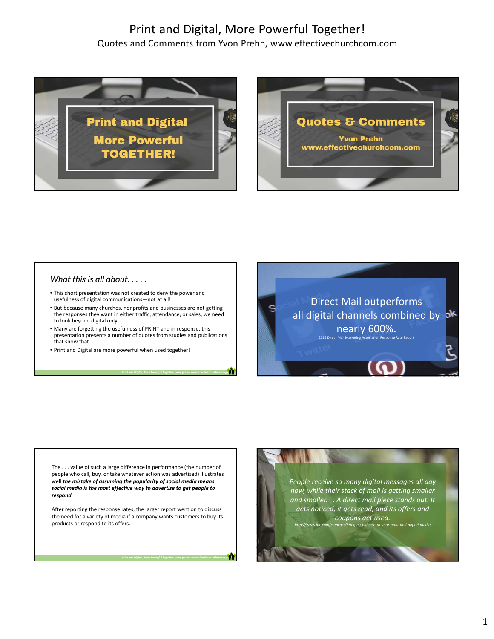## Print and Digital, More Powerful Together! Quotes and Comments from Yvon Prehn, www.effectivechurchcom.com





## *What this is all about. . . . .*

- This short presentation was not created to deny the power and usefulness of digital communications—not at all!
- But because many churches, nonprofits and businesses are not getting the responses they want in either traffic, attendance, or sales, we need to look beyond digital only.
- Many are forgetting the usefulness of PRINT and in response, this presentation presents a number of quotes from studies and publications that show that….

*Print and Digital, More Powerful Together! y***von prehn, www.effectivechurchcom.com** 

*Print and Digital, More Powerful Together! y***von prehn, www.effectivechurchcom.com** 

• Print and Digital are more powerful when used together!

Direct Mail outperforms all digital channels combined by  $\delta^*$ nearly 600%. 2015 Direct Mail Marketing Association Response Rate Report

The . . . value of such a large difference in performance (the number of people who call, buy, or take whatever action was advertised) illustrates well *the mistake of assuming the popularity of social media means social media is the most effective way to advertise to get people to respond.* 

After reporting the response rates, the larger report went on to discuss the need for a variety of media if a company wants customers to buy its products or respond to its offers.

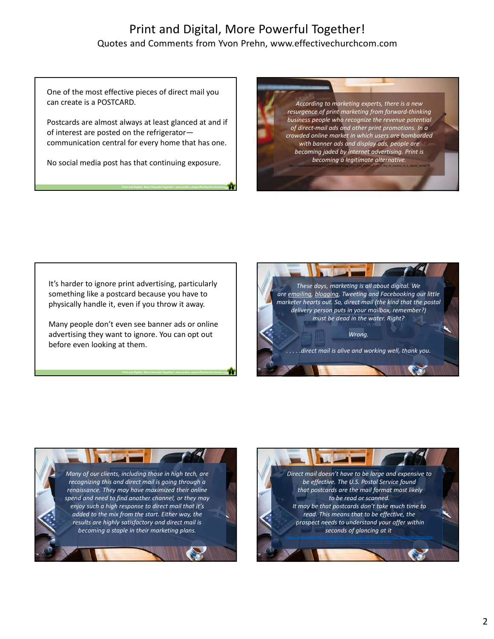## Print and Digital, More Powerful Together! Quotes and Comments from Yvon Prehn, www.effectivechurchcom.com

One of the most effective pieces of direct mail you can create is a POSTCARD.

Postcards are almost always at least glanced at and if of interest are posted on the refrigerator communication central for every home that has one.

No social media post has that continuing exposure.

*Print and Digital, More Powerful Together! y***von prehn, www.effectivechurchcom.com** 

*Print and Digital, More Powerful Together! y***von prehn, www.effectivechurchcom.com** 

*According to marketing experts, there is a new resurgence of print marketing from forward‐thinking business people who recognize the revenue potential of direct‐mail ads and other print promotions. In a crowded online market in which users are bombarded with banner ads and display ads, people are becoming jaded by internet advertising. Print is becoming a legitimate alternative.*

*http://www.lawtonprinting.com/blog/integrating\_print\_and\_digital,\_print\_is\_key\_to\_success\_in\_a\_digital\_world/75*

It's harder to ignore print advertising, particularly something like a postcard because you have to physically handle it, even if you throw it away.

Many people don't even see banner ads or online advertising they want to ignore. You can opt out before even looking at them.